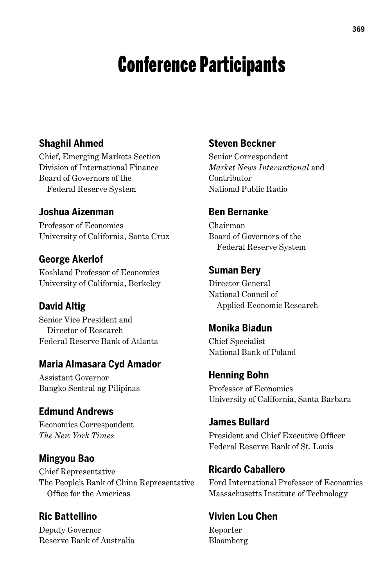# Conference Participants

### **Shaghil Ahmed**

Chief, Emerging Markets Section Division of International Finance Board of Governors of the Federal Reserve System

#### **Joshua Aizenman**

Professor of Economics University of California, Santa Cruz

#### **George Akerlof**

Koshland Professor of Economics University of California, Berkeley

#### **David Altig**

Senior Vice President and Director of Research Federal Reserve Bank of Atlanta

#### **Maria Almasara Cyd Amador**

Assistant Governor Bangko Sentral ng Pilipinas

#### **Edmund Andrews**

Economics Correspondent *The New York Times*

#### **Mingyou Bao**

Chief Representative The People's Bank of China Representative Office for the Americas

**Ric Battellino** Deputy Governor Reserve Bank of Australia

#### **Steven Beckner**

Senior Correspondent *Market News International* and Contributor National Public Radio

#### **Ben Bernanke**

Chairman Board of Governors of the Federal Reserve System

#### **Suman Bery**

Director General National Council of Applied Economic Research

#### **Monika Biadun**

Chief Specialist National Bank of Poland

#### **Henning Bohn**

Professor of Economics University of California, Santa Barbara

## **James Bullard**

President and Chief Executive Officer Federal Reserve Bank of St. Louis

#### **Ricardo Caballero**

Ford International Professor of Economics Massachusetts Institute of Technology

#### **Vivien Lou Chen**

Reporter Bloomberg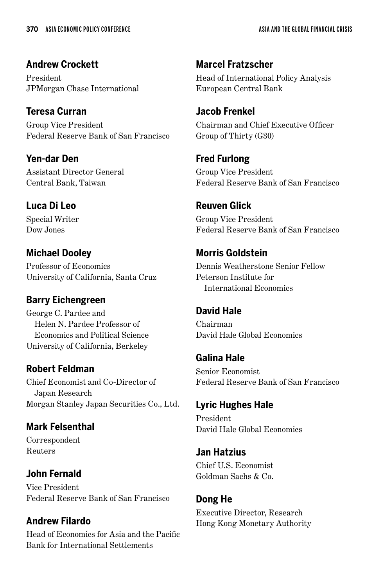**Andrew Crockett** President JPMorgan Chase International

**Teresa Curran** Group Vice President Federal Reserve Bank of San Francisco

**Yen-dar Den** Assistant Director General Central Bank, Taiwan

## **Luca Di Leo**

Special Writer Dow Jones

## **Michael Dooley**

Professor of Economics University of California, Santa Cruz

## **Barry Eichengreen**

George C. Pardee and Helen N. Pardee Professor of Economics and Political Science University of California, Berkeley

## **Robert Feldman**

Chief Economist and Co-Director of Japan Research Morgan Stanley Japan Securities Co., Ltd.

## **Mark Felsenthal**

Correspondent Reuters

## **John Fernald**

Vice President Federal Reserve Bank of San Francisco

## **Andrew Filardo**

Head of Economics for Asia and the Pacific Bank for International Settlements

**Marcel Fratzscher** Head of International Policy Analysis European Central Bank

## **Jacob Frenkel**

Chairman and Chief Executive Officer Group of Thirty (G30)

**Fred Furlong** Group Vice President Federal Reserve Bank of San Francisco

## **Reuven Glick**

Group Vice President Federal Reserve Bank of San Francisco

## **Morris Goldstein**

Dennis Weatherstone Senior Fellow Peterson Institute for International Economics

## **David Hale**

Chairman David Hale Global Economics

## **Galina Hale**

Senior Economist Federal Reserve Bank of San Francisco

## **Lyric Hughes Hale**

President David Hale Global Economics

#### **Jan Hatzius** Chief U.S. Economist

Goldman Sachs & Co.

## **Dong He**

Executive Director, Research Hong Kong Monetary Authority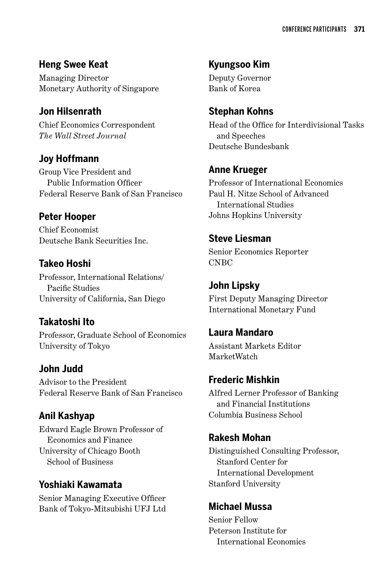**Heng Swee Keat** Managing Director Monetary Authority of Singapore

#### **Jon Hilsenrath**

Chief Economics Correspondent *The Wall Street Journal*

#### **Joy Hoffmann**

Group Vice President and Public Information Officer Federal Reserve Bank of San Francisco

## **Peter Hooper**

Chief Economist Deutsche Bank Securities Inc.

#### **Takeo Hoshi**

Professor, International Relations/ Pacific Studies University of California, San Diego

## **Takatoshi Ito**

Professor, Graduate School of Economics University of Tokyo

#### **John Judd**

Advisor to the President Federal Reserve Bank of San Francisco

## **Anil Kashyap**

Edward Eagle Brown Professor of Economics and Finance University of Chicago Booth School of Business

#### **Yoshiaki Kawamata**

Senior Managing Executive Officer Bank of Tokyo-Mitsubishi UFJ Ltd

## **Kyungsoo Kim**

Deputy Governor Bank of Korea

#### **Stephan Kohns**

Head of the Office for Interdivisional Tasks and Speeches Deutsche Bundesbank

#### **Anne Krueger**

Professor of International Economics Paul H. Nitze School of Advanced International Studies Johns Hopkins University

#### **Steve Liesman**

Senior Economics Reporter CNBC

## **John Lipsky**

First Deputy Managing Director International Monetary Fund

#### **Laura Mandaro**

Assistant Markets Editor MarketWatch

#### **Frederic Mishkin**

Alfred Lerner Professor of Banking and Financial Institutions Columbia Business School

#### **Rakesh Mohan**

Distinguished Consulting Professor, Stanford Center for International Development Stanford University

#### **Michael Mussa**

Senior Fellow Peterson Institute for International Economics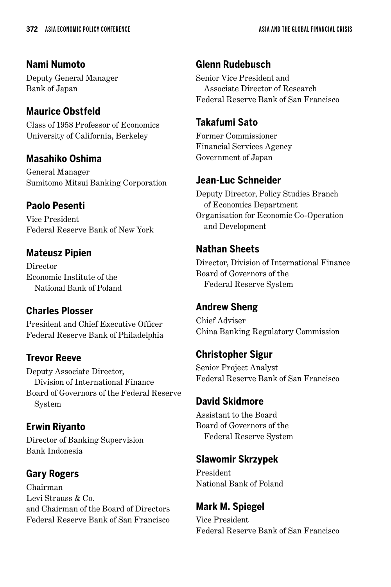## **Nami Numoto**

Deputy General Manager Bank of Japan

## **Maurice Obstfeld**

Class of 1958 Professor of Economics University of California, Berkeley

## **Masahiko Oshima**

General Manager Sumitomo Mitsui Banking Corporation

## **Paolo Pesenti**

Vice President Federal Reserve Bank of New York

## **Mateusz Pipien**

Director Economic Institute of the National Bank of Poland

## **Charles Plosser**

President and Chief Executive Officer Federal Reserve Bank of Philadelphia

## **Trevor Reeve**

Deputy Associate Director, Division of International Finance Board of Governors of the Federal Reserve System

## **Erwin Riyanto**

Director of Banking Supervision Bank Indonesia

## **Gary Rogers**

Chairman Levi Strauss & Co. and Chairman of the Board of Directors Federal Reserve Bank of San Francisco

## **Glenn Rudebusch**

Senior Vice President and Associate Director of Research Federal Reserve Bank of San Francisco

## **Takafumi Sato**

Former Commissioner Financial Services Agency Government of Japan

## **Jean-Luc Schneider**

Deputy Director, Policy Studies Branch of Economics Department Organisation for Economic Co-Operation and Development

## **Nathan Sheets**

Director, Division of International Finance Board of Governors of the Federal Reserve System

## **Andrew Sheng**

Chief Adviser China Banking Regulatory Commission

## **Christopher Sigur**

Senior Project Analyst Federal Reserve Bank of San Francisco

#### **David Skidmore**

Assistant to the Board Board of Governors of the Federal Reserve System

## **Slawomir Skrzypek**

President National Bank of Poland

## **Mark M. Spiegel**

Vice President Federal Reserve Bank of San Francisco